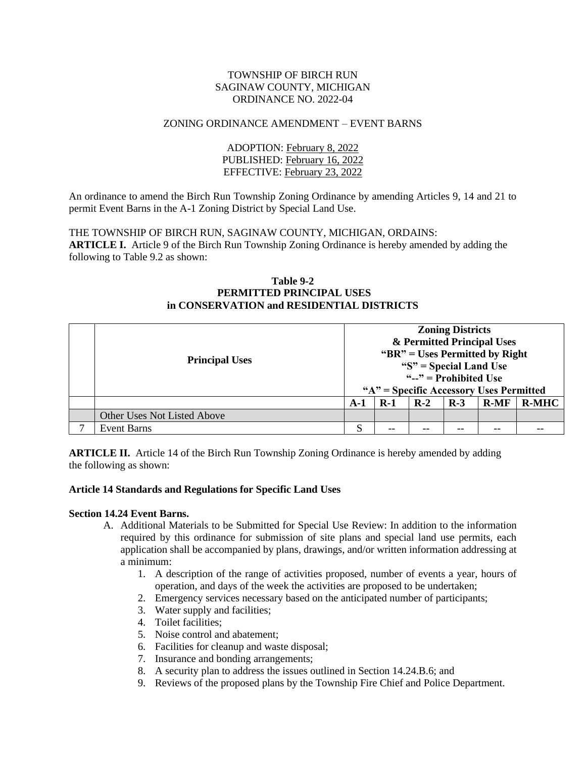#### TOWNSHIP OF BIRCH RUN SAGINAW COUNTY, MICHIGAN ORDINANCE NO. 2022-04

## ZONING ORDINANCE AMENDMENT – EVENT BARNS

ADOPTION: February 8, 2022 PUBLISHED: February 16, 2022 EFFECTIVE: February 23, 2022

An ordinance to amend the Birch Run Township Zoning Ordinance by amending Articles 9, 14 and 21 to permit Event Barns in the A-1 Zoning District by Special Land Use.

THE TOWNSHIP OF BIRCH RUN, SAGINAW COUNTY, MICHIGAN, ORDAINS: **ARTICLE I.** Article 9 of the Birch Run Township Zoning Ordinance is hereby amended by adding the following to Table 9.2 as shown:

#### **Table 9-2 PERMITTED PRINCIPAL USES in CONSERVATION and RESIDENTIAL DISTRICTS**

| <b>Principal Uses</b>       | <b>Zoning Districts</b><br>& Permitted Principal Uses<br>" $BR"$ = Uses Permitted by Right"<br>" $S$ " = Special Land Use<br>" $-$ " = Prohibited Use<br>"A" = Specific Accessory Uses Permitted |       |       |       |        |              |
|-----------------------------|--------------------------------------------------------------------------------------------------------------------------------------------------------------------------------------------------|-------|-------|-------|--------|--------------|
|                             | $A-1$                                                                                                                                                                                            | $R-1$ | $R-2$ | $R-3$ | $R-MF$ | <b>R-MHC</b> |
| Other Uses Not Listed Above |                                                                                                                                                                                                  |       |       |       |        |              |
| <b>Event Barns</b>          | S                                                                                                                                                                                                | $- -$ | --    |       | $- -$  |              |

**ARTICLE II.** Article 14 of the Birch Run Township Zoning Ordinance is hereby amended by adding the following as shown:

### **Article 14 Standards and Regulations for Specific Land Uses**

#### **Section 14.24 Event Barns.**

- A. Additional Materials to be Submitted for Special Use Review: In addition to the information required by this ordinance for submission of site plans and special land use permits, each application shall be accompanied by plans, drawings, and/or written information addressing at a minimum:
	- 1. A description of the range of activities proposed, number of events a year, hours of operation, and days of the week the activities are proposed to be undertaken;
	- 2. Emergency services necessary based on the anticipated number of participants;
	- 3. Water supply and facilities;
	- 4. Toilet facilities;
	- 5. Noise control and abatement;
	- 6. Facilities for cleanup and waste disposal;
	- 7. Insurance and bonding arrangements;
	- 8. A security plan to address the issues outlined in Section 14.24.B.6; and
	- 9. Reviews of the proposed plans by the Township Fire Chief and Police Department.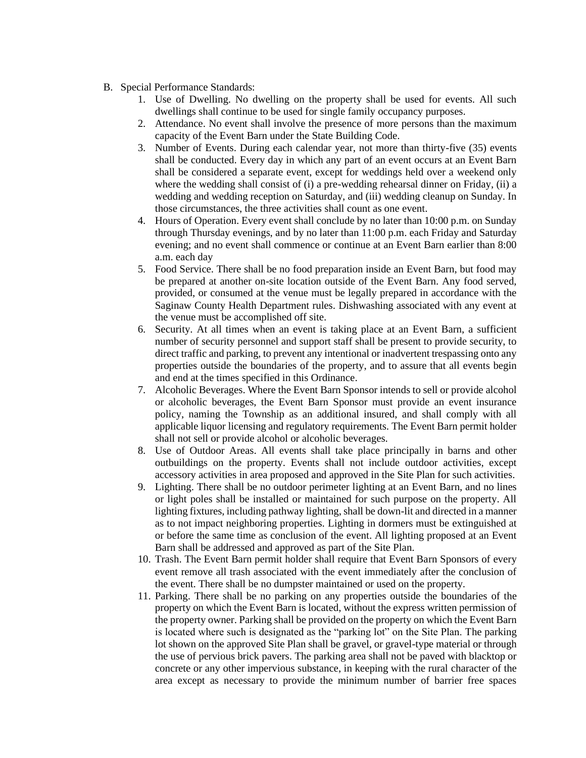- B. Special Performance Standards:
	- 1. Use of Dwelling. No dwelling on the property shall be used for events. All such dwellings shall continue to be used for single family occupancy purposes.
	- 2. Attendance. No event shall involve the presence of more persons than the maximum capacity of the Event Barn under the State Building Code.
	- 3. Number of Events. During each calendar year, not more than thirty-five (35) events shall be conducted. Every day in which any part of an event occurs at an Event Barn shall be considered a separate event, except for weddings held over a weekend only where the wedding shall consist of (i) a pre-wedding rehearsal dinner on Friday, (ii) a wedding and wedding reception on Saturday, and (iii) wedding cleanup on Sunday. In those circumstances, the three activities shall count as one event.
	- 4. Hours of Operation. Every event shall conclude by no later than 10:00 p.m. on Sunday through Thursday evenings, and by no later than 11:00 p.m. each Friday and Saturday evening; and no event shall commence or continue at an Event Barn earlier than 8:00 a.m. each day
	- 5. Food Service. There shall be no food preparation inside an Event Barn, but food may be prepared at another on-site location outside of the Event Barn. Any food served, provided, or consumed at the venue must be legally prepared in accordance with the Saginaw County Health Department rules. Dishwashing associated with any event at the venue must be accomplished off site.
	- 6. Security. At all times when an event is taking place at an Event Barn, a sufficient number of security personnel and support staff shall be present to provide security, to direct traffic and parking, to prevent any intentional or inadvertent trespassing onto any properties outside the boundaries of the property, and to assure that all events begin and end at the times specified in this Ordinance.
	- 7. Alcoholic Beverages. Where the Event Barn Sponsor intends to sell or provide alcohol or alcoholic beverages, the Event Barn Sponsor must provide an event insurance policy, naming the Township as an additional insured, and shall comply with all applicable liquor licensing and regulatory requirements. The Event Barn permit holder shall not sell or provide alcohol or alcoholic beverages.
	- 8. Use of Outdoor Areas. All events shall take place principally in barns and other outbuildings on the property. Events shall not include outdoor activities, except accessory activities in area proposed and approved in the Site Plan for such activities.
	- 9. Lighting. There shall be no outdoor perimeter lighting at an Event Barn, and no lines or light poles shall be installed or maintained for such purpose on the property. All lighting fixtures, including pathway lighting, shall be down-lit and directed in a manner as to not impact neighboring properties. Lighting in dormers must be extinguished at or before the same time as conclusion of the event. All lighting proposed at an Event Barn shall be addressed and approved as part of the Site Plan.
	- 10. Trash. The Event Barn permit holder shall require that Event Barn Sponsors of every event remove all trash associated with the event immediately after the conclusion of the event. There shall be no dumpster maintained or used on the property.
	- 11. Parking. There shall be no parking on any properties outside the boundaries of the property on which the Event Barn is located, without the express written permission of the property owner. Parking shall be provided on the property on which the Event Barn is located where such is designated as the "parking lot" on the Site Plan. The parking lot shown on the approved Site Plan shall be gravel, or gravel-type material or through the use of pervious brick pavers. The parking area shall not be paved with blacktop or concrete or any other impervious substance, in keeping with the rural character of the area except as necessary to provide the minimum number of barrier free spaces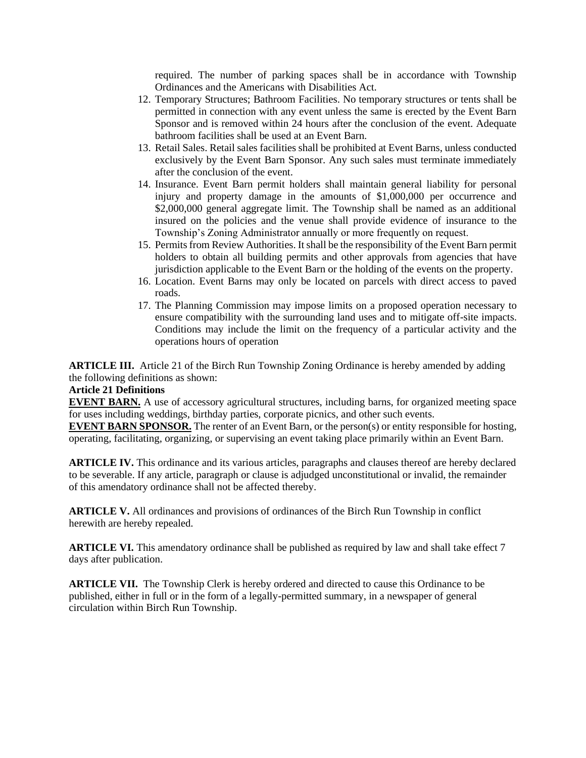required. The number of parking spaces shall be in accordance with Township Ordinances and the Americans with Disabilities Act.

- 12. Temporary Structures; Bathroom Facilities. No temporary structures or tents shall be permitted in connection with any event unless the same is erected by the Event Barn Sponsor and is removed within 24 hours after the conclusion of the event. Adequate bathroom facilities shall be used at an Event Barn.
- 13. Retail Sales. Retail sales facilities shall be prohibited at Event Barns, unless conducted exclusively by the Event Barn Sponsor. Any such sales must terminate immediately after the conclusion of the event.
- 14. Insurance. Event Barn permit holders shall maintain general liability for personal injury and property damage in the amounts of \$1,000,000 per occurrence and \$2,000,000 general aggregate limit. The Township shall be named as an additional insured on the policies and the venue shall provide evidence of insurance to the Township's Zoning Administrator annually or more frequently on request.
- 15. Permits from Review Authorities. It shall be the responsibility of the Event Barn permit holders to obtain all building permits and other approvals from agencies that have jurisdiction applicable to the Event Barn or the holding of the events on the property.
- 16. Location. Event Barns may only be located on parcels with direct access to paved roads.
- 17. The Planning Commission may impose limits on a proposed operation necessary to ensure compatibility with the surrounding land uses and to mitigate off-site impacts. Conditions may include the limit on the frequency of a particular activity and the operations hours of operation

**ARTICLE III.** Article 21 of the Birch Run Township Zoning Ordinance is hereby amended by adding the following definitions as shown:

# **Article 21 Definitions**

**EVENT BARN.** A use of accessory agricultural structures, including barns, for organized meeting space for uses including weddings, birthday parties, corporate picnics, and other such events.

**EVENT BARN SPONSOR.** The renter of an Event Barn, or the person(s) or entity responsible for hosting, operating, facilitating, organizing, or supervising an event taking place primarily within an Event Barn.

**ARTICLE IV.** This ordinance and its various articles, paragraphs and clauses thereof are hereby declared to be severable. If any article, paragraph or clause is adjudged unconstitutional or invalid, the remainder of this amendatory ordinance shall not be affected thereby.

**ARTICLE V.** All ordinances and provisions of ordinances of the Birch Run Township in conflict herewith are hereby repealed.

**ARTICLE VI.** This amendatory ordinance shall be published as required by law and shall take effect 7 days after publication.

**ARTICLE VII.** The Township Clerk is hereby ordered and directed to cause this Ordinance to be published, either in full or in the form of a legally-permitted summary, in a newspaper of general circulation within Birch Run Township.